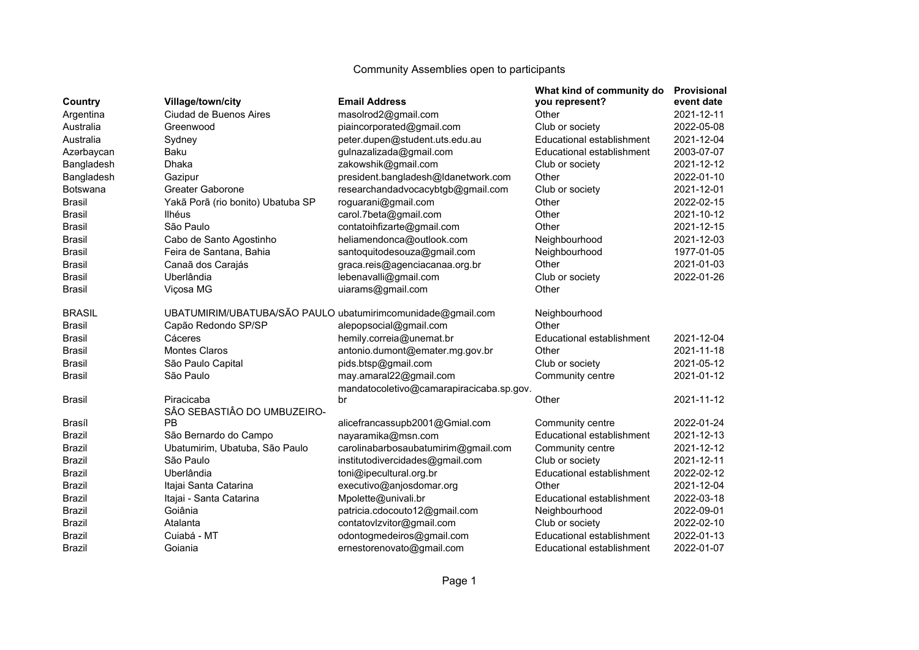| Country                                                                                        | Village/town/city                 | <b>Email Address</b>                                        | What kind of community do<br>you represent? | <b>Provisional</b><br>event date |
|------------------------------------------------------------------------------------------------|-----------------------------------|-------------------------------------------------------------|---------------------------------------------|----------------------------------|
| Argentina                                                                                      | Ciudad de Buenos Aires            | masolrod2@gmail.com                                         | Other                                       | 2021-12-11                       |
| Australia                                                                                      | Greenwood                         | piaincorporated@gmail.com                                   | Club or society                             | 2022-05-08                       |
| Australia                                                                                      | Sydney                            | peter.dupen@student.uts.edu.au                              | Educational establishment                   | 2021-12-04                       |
| Azərbaycan                                                                                     | Baku                              | gulnazalizada@gmail.com                                     | Educational establishment                   | 2003-07-07                       |
| Bangladesh                                                                                     | <b>Dhaka</b>                      | zakowshik@gmail.com                                         | Club or society                             | 2021-12-12                       |
| Bangladesh                                                                                     | Gazipur                           | president.bangladesh@ldanetwork.com                         | Other                                       | 2022-01-10                       |
| <b>Botswana</b>                                                                                | Greater Gaborone                  | researchandadvocacybtgb@gmail.com                           | Club or society                             | 2021-12-01                       |
| <b>Brasil</b>                                                                                  | Yakã Porã (rio bonito) Ubatuba SP | roguarani@gmail.com                                         | Other                                       | 2022-02-15                       |
| <b>Brasil</b>                                                                                  | Ilhéus                            | carol.7beta@gmail.com                                       | Other                                       | 2021-10-12                       |
| <b>Brasil</b>                                                                                  | São Paulo                         | contatoihfizarte@gmail.com                                  | Other                                       | 2021-12-15                       |
| <b>Brasil</b>                                                                                  | Cabo de Santo Agostinho           | heliamendonca@outlook.com                                   | Neighbourhood                               | 2021-12-03                       |
| <b>Brasil</b>                                                                                  | Feira de Santana, Bahia           | santoquitodesouza@gmail.com                                 | Neighbourhood                               | 1977-01-05                       |
| <b>Brasil</b>                                                                                  | Canaã dos Carajás                 | graca.reis@agenciacanaa.org.br                              | Other                                       | 2021-01-03                       |
| <b>Brasil</b>                                                                                  | Uberlândia                        | lebenavalli@gmail.com                                       | Club or society                             | 2022-01-26                       |
| <b>Brasil</b>                                                                                  | Viçosa MG                         | uiarams@gmail.com                                           | Other                                       |                                  |
| <b>BRASIL</b>                                                                                  |                                   | UBATUMIRIM/UBATUBA/SÃO PAULO ubatumirimcomunidade@gmail.com | Neighbourhood                               |                                  |
| <b>Brasil</b>                                                                                  | Capão Redondo SP/SP               | alepopsocial@gmail.com                                      | Other                                       |                                  |
| <b>Brasil</b>                                                                                  | Cáceres                           | hemily.correia@unemat.br                                    | Educational establishment                   | 2021-12-04                       |
| <b>Brasil</b>                                                                                  | <b>Montes Claros</b>              | antonio.dumont@emater.mg.gov.br                             | Other                                       | 2021-11-18                       |
| <b>Brasil</b>                                                                                  | São Paulo Capital                 | pids.btsp@gmail.com                                         | Club or society                             | 2021-05-12                       |
| <b>Brasil</b>                                                                                  | São Paulo                         | may.amaral22@gmail.com                                      | Community centre                            | 2021-01-12                       |
|                                                                                                |                                   | mandatocoletivo@camarapiracicaba.sp.gov.                    |                                             |                                  |
| <b>Brasil</b>                                                                                  | Piracicaba                        | br                                                          | Other                                       | 2021-11-12                       |
| Brasíl<br><b>Brazil</b><br><b>Brazil</b><br>Brazil<br><b>Brazil</b><br>Brazil<br><b>Brazil</b> | SÂO SEBASTIÂO DO UMBUZEIRO-       |                                                             |                                             |                                  |
|                                                                                                | <b>PB</b>                         | alicefrancassupb2001@Gmial.com                              | Community centre                            | 2022-01-24                       |
|                                                                                                | São Bernardo do Campo             | nayaramika@msn.com                                          | Educational establishment                   | 2021-12-13                       |
|                                                                                                | Ubatumirim, Ubatuba, São Paulo    | carolinabarbosaubatumirim@gmail.com                         | Community centre                            | 2021-12-12                       |
|                                                                                                | São Paulo                         | institutodivercidades@gmail.com                             | Club or society                             | 2021-12-11                       |
|                                                                                                | Uberlândia                        | toni@ipecultural.org.br                                     | Educational establishment                   | 2022-02-12                       |
|                                                                                                | Itajai Santa Catarina             | executivo@anjosdomar.org                                    | Other                                       | 2021-12-04                       |
|                                                                                                | Itajai - Santa Catarina           | Mpolette@univali.br                                         | Educational establishment                   | 2022-03-18                       |
| <b>Brazil</b>                                                                                  | Goiânia                           | patricia.cdocouto12@gmail.com                               | Neighbourhood                               | 2022-09-01                       |
| <b>Brazil</b>                                                                                  | Atalanta                          | contatovlzvitor@gmail.com                                   | Club or society                             | 2022-02-10                       |
| <b>Brazil</b>                                                                                  | Cuiabá - MT                       | odontogmedeiros@gmail.com                                   | Educational establishment                   | 2022-01-13                       |
| <b>Brazil</b>                                                                                  | Goiania                           | ernestorenovato@gmail.com                                   | Educational establishment                   | 2022-01-07                       |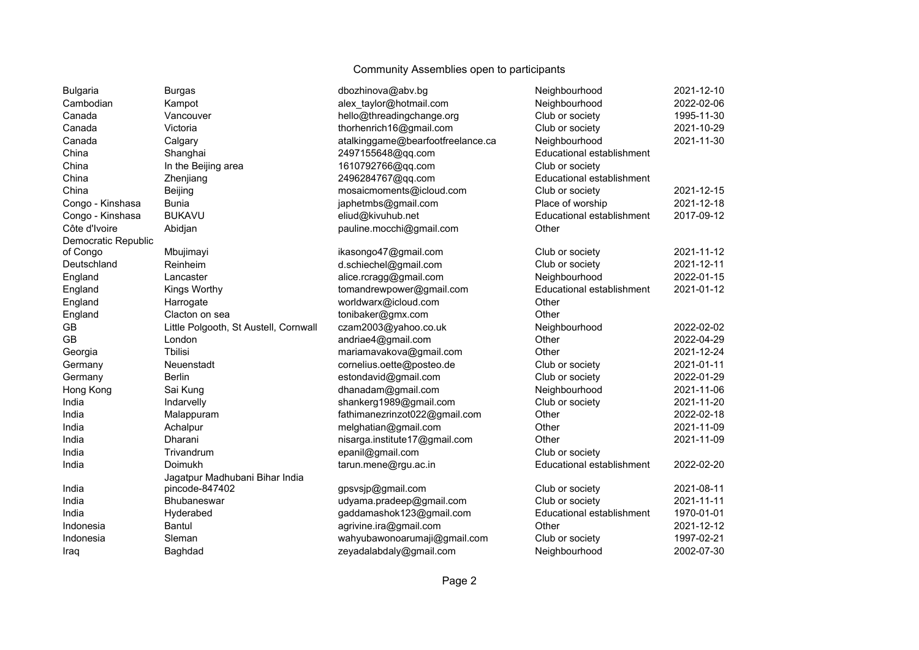| <b>Bulgaria</b>     | <b>Burgas</b>                         | dbozhinova@abv.bg                 | Neighbourhood             | 2021-12-10 |
|---------------------|---------------------------------------|-----------------------------------|---------------------------|------------|
| Cambodian           | Kampot                                | alex_taylor@hotmail.com           | Neighbourhood             | 2022-02-06 |
| Canada              | Vancouver                             | hello@threadingchange.org         | Club or society           | 1995-11-30 |
| Canada              | Victoria                              | thorhenrich16@gmail.com           | Club or society           | 2021-10-29 |
| Canada              | Calgary                               | atalkinggame@bearfootfreelance.ca | Neighbourhood             | 2021-11-30 |
| China               | Shanghai                              | 2497155648@qq.com                 | Educational establishment |            |
| China               | In the Beijing area                   | 1610792766@qq.com                 | Club or society           |            |
| China               | Zhenjiang                             | 2496284767@qq.com                 | Educational establishment |            |
| China               | Beijing                               | mosaicmoments@icloud.com          | Club or society           | 2021-12-15 |
| Congo - Kinshasa    | <b>Bunia</b>                          | japhetmbs@gmail.com               | Place of worship          | 2021-12-18 |
| Congo - Kinshasa    | <b>BUKAVU</b>                         | eliud@kivuhub.net                 | Educational establishment | 2017-09-12 |
| Côte d'Ivoire       | Abidjan                               | pauline.mocchi@gmail.com          | Other                     |            |
| Democratic Republic |                                       |                                   |                           |            |
| of Congo            | Mbujimayi                             | ikasongo47@gmail.com              | Club or society           | 2021-11-12 |
| Deutschland         | Reinheim                              | d.schiechel@gmail.com             | Club or society           | 2021-12-11 |
| England             | Lancaster                             | alice.rcragg@gmail.com            | Neighbourhood             | 2022-01-15 |
| England             | Kings Worthy                          | tomandrewpower@gmail.com          | Educational establishment | 2021-01-12 |
| England             | Harrogate                             | worldwarx@icloud.com              | Other                     |            |
| England             | Clacton on sea                        | tonibaker@gmx.com                 | Other                     |            |
| GB                  | Little Polgooth, St Austell, Cornwall | czam2003@yahoo.co.uk              | Neighbourhood             | 2022-02-02 |
| <b>GB</b>           | London                                | andriae4@gmail.com                | Other                     | 2022-04-29 |
| Georgia             | <b>Thilisi</b>                        | mariamavakova@gmail.com           | Other                     | 2021-12-24 |
| Germany             | Neuenstadt                            | cornelius.oette@posteo.de         | Club or society           | 2021-01-11 |
| Germany             | <b>Berlin</b>                         | estondavid@gmail.com              | Club or society           | 2022-01-29 |
| Hong Kong           | Sai Kung                              | dhanadam@gmail.com                | Neighbourhood             | 2021-11-06 |
| India               | Indarvelly                            | shankerg1989@gmail.com            | Club or society           | 2021-11-20 |
| India               | Malappuram                            | fathimanezrinzot022@gmail.com     | Other                     | 2022-02-18 |
| India               | Achalpur                              | melghatian@gmail.com              | Other                     | 2021-11-09 |
| India               | Dharani                               | nisarga.institute17@gmail.com     | Other                     | 2021-11-09 |
| India               | Trivandrum                            | epanil@gmail.com                  | Club or society           |            |
| India               | Doimukh                               | tarun.mene@rgu.ac.in              | Educational establishment | 2022-02-20 |
|                     | Jagatpur Madhubani Bihar India        |                                   |                           |            |
| India               | pincode-847402                        | gpsvsjp@gmail.com                 | Club or society           | 2021-08-11 |
| India               | Bhubaneswar                           | udyama.pradeep@gmail.com          | Club or society           | 2021-11-11 |
| India               | Hyderabed                             | gaddamashok123@gmail.com          | Educational establishment | 1970-01-01 |
| Indonesia           | Bantul                                | agrivine.ira@gmail.com            | Other                     | 2021-12-12 |
| Indonesia           | Sleman                                | wahyubawonoarumaji@gmail.com      | Club or society           | 1997-02-21 |
| Iraq                | Baghdad                               | zeyadalabdaly@gmail.com           | Neighbourhood             | 2002-07-30 |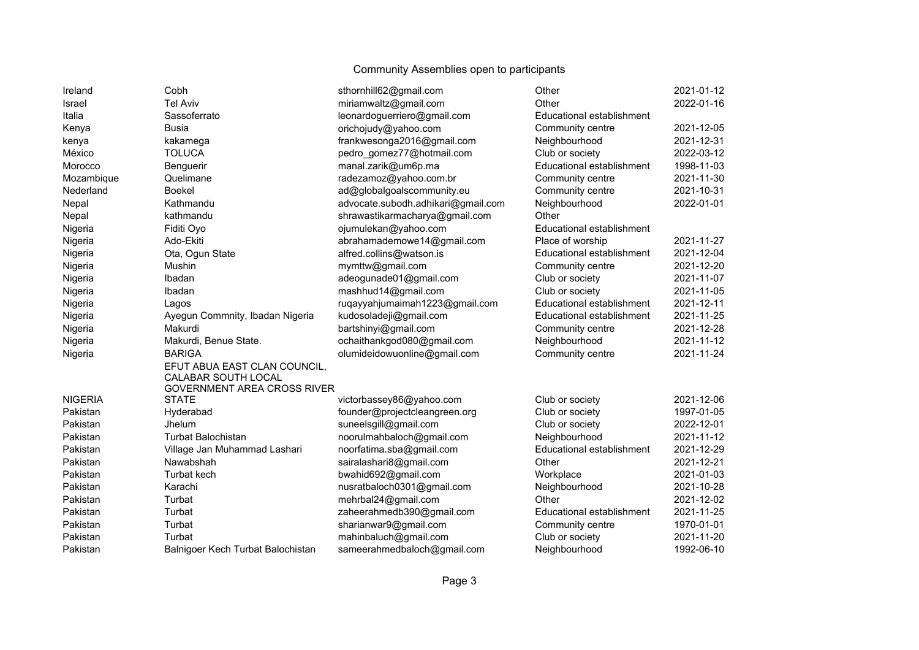| Ireland        | Cobh                               | sthornhill62@gmail.com             | Other                     | 2021-01-12 |
|----------------|------------------------------------|------------------------------------|---------------------------|------------|
| Israel         | <b>Tel Aviv</b>                    | miriamwaltz@gmail.com              | Other                     | 2022-01-16 |
| Italia         | Sassoferrato                       | leonardoguerriero@gmail.com        | Educational establishment |            |
| Kenya          | <b>Busia</b>                       | orichojudy@yahoo.com               | Community centre          | 2021-12-05 |
| kenya          | kakamega                           | frankwesonga2016@gmail.com         | Neighbourhood             | 2021-12-31 |
| México         | <b>TOLUCA</b>                      | pedro_gomez77@hotmail.com          | Club or society           | 2022-03-12 |
| Morocco        | Benguerir                          | manal.zarik@um6p.ma                | Educational establishment | 1998-11-03 |
| Mozambique     | Quelimane                          | radezamoz@yahoo.com.br             | Community centre          | 2021-11-30 |
| Nederland      | Boekel                             | ad@globalgoalscommunity.eu         | Community centre          | 2021-10-31 |
| Nepal          | Kathmandu                          | advocate.subodh.adhikari@gmail.com | Neighbourhood             | 2022-01-01 |
| Nepal          | kathmandu                          | shrawastikarmacharya@gmail.com     | Other                     |            |
| Nigeria        | Fiditi Oyo                         | ojumulekan@yahoo.com               | Educational establishment |            |
| Nigeria        | Ado-Ekiti                          | abrahamademowe14@gmail.com         | Place of worship          | 2021-11-27 |
| Nigeria        | Ota, Ogun State                    | alfred.collins@watson.is           | Educational establishment | 2021-12-04 |
| Nigeria        | Mushin                             | mymttw@gmail.com                   | Community centre          | 2021-12-20 |
| Nigeria        | Ibadan                             | adeogunade01@gmail.com             | Club or society           | 2021-11-07 |
| Nigeria        | Ibadan                             | mashhud14@gmail.com                | Club or society           | 2021-11-05 |
| Nigeria        | Lagos                              | ruqayyahjumaimah1223@gmail.com     | Educational establishment | 2021-12-11 |
| Nigeria        | Ayegun Commnity, Ibadan Nigeria    | kudosoladeji@gmail.com             | Educational establishment | 2021-11-25 |
| Nigeria        | Makurdi                            | bartshinyi@gmail.com               | Community centre          | 2021-12-28 |
| Nigeria        | Makurdi, Benue State.              | ochaithankgod080@gmail.com         | Neighbourhood             | 2021-11-12 |
| Nigeria        | <b>BARIGA</b>                      | olumideidowuonline@gmail.com       | Community centre          | 2021-11-24 |
|                | EFUT ABUA EAST CLAN COUNCIL,       |                                    |                           |            |
|                | CALABAR SOUTH LOCAL                |                                    |                           |            |
|                | <b>GOVERNMENT AREA CROSS RIVER</b> |                                    |                           |            |
| <b>NIGERIA</b> | <b>STATE</b>                       | victorbassey86@yahoo.com           | Club or society           | 2021-12-06 |
| Pakistan       | Hyderabad                          | founder@projectcleangreen.org      | Club or society           | 1997-01-05 |
| Pakistan       | Jhelum                             | suneelsgill@gmail.com              | Club or society           | 2022-12-01 |
| Pakistan       | <b>Turbat Balochistan</b>          | noorulmahbaloch@gmail.com          | Neighbourhood             | 2021-11-12 |
| Pakistan       | Village Jan Muhammad Lashari       | noorfatima.sba@gmail.com           | Educational establishment | 2021-12-29 |
| Pakistan       | Nawabshah                          | sairalashari8@gmail.com            | Other                     | 2021-12-21 |
| Pakistan       | <b>Turbat kech</b>                 | bwahid692@gmail.com                | Workplace                 | 2021-01-03 |
| Pakistan       | Karachi                            | nusratbaloch0301@gmail.com         | Neighbourhood             | 2021-10-28 |
| Pakistan       | Turbat                             | mehrbal24@gmail.com                | Other                     | 2021-12-02 |
| Pakistan       | Turbat                             | zaheerahmedb390@gmail.com          | Educational establishment | 2021-11-25 |
| Pakistan       | Turbat                             | sharianwar9@gmail.com              | Community centre          | 1970-01-01 |
| Pakistan       | Turbat                             | mahinbaluch@gmail.com              | Club or society           | 2021-11-20 |
| Pakistan       | Balnigoer Kech Turbat Balochistan  | sameerahmedbaloch@gmail.com        | Neighbourhood             | 1992-06-10 |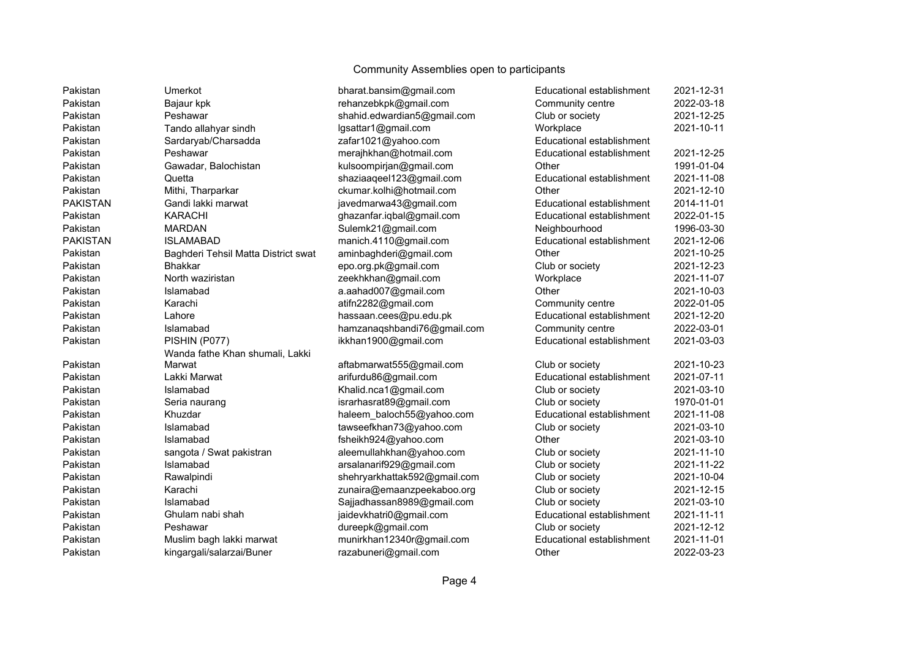| Pakistan        | Umerkot                             | bharat.bansim@gmail.com      | Educational establishment | 2021-12-31 |
|-----------------|-------------------------------------|------------------------------|---------------------------|------------|
| Pakistan        | Bajaur kpk                          | rehanzebkpk@gmail.com        | Community centre          | 2022-03-18 |
| Pakistan        | Peshawar                            | shahid.edwardian5@gmail.com  | Club or society           | 2021-12-25 |
| Pakistan        | Tando allahyar sindh                | lgsattar1@gmail.com          | Workplace                 | 2021-10-11 |
| Pakistan        | Sardaryab/Charsadda                 | zafar1021@yahoo.com          | Educational establishment |            |
| Pakistan        | Peshawar                            | merajhkhan@hotmail.com       | Educational establishment | 2021-12-25 |
| Pakistan        | Gawadar, Balochistan                | kulsoompirjan@gmail.com      | Other                     | 1991-01-04 |
| Pakistan        | Quetta                              | shaziaaqeel123@gmail.com     | Educational establishment | 2021-11-08 |
| Pakistan        | Mithi, Tharparkar                   | ckumar.kolhi@hotmail.com     | Other                     | 2021-12-10 |
| <b>PAKISTAN</b> | Gandi lakki marwat                  | javedmarwa43@gmail.com       | Educational establishment | 2014-11-01 |
| Pakistan        | <b>KARACHI</b>                      | ghazanfar.iqbal@gmail.com    | Educational establishment | 2022-01-15 |
| Pakistan        | <b>MARDAN</b>                       | Sulemk21@gmail.com           | Neighbourhood             | 1996-03-30 |
| <b>PAKISTAN</b> | <b>ISLAMABAD</b>                    | manich.4110@gmail.com        | Educational establishment | 2021-12-06 |
| Pakistan        | Baghderi Tehsil Matta District swat | aminbaghderi@gmail.com       | Other                     | 2021-10-25 |
| Pakistan        | <b>Bhakkar</b>                      | epo.org.pk@gmail.com         | Club or society           | 2021-12-23 |
| Pakistan        | North waziristan                    | zeekhkhan@gmail.com          | Workplace                 | 2021-11-07 |
| Pakistan        | Islamabad                           | a.aahad007@gmail.com         | Other                     | 2021-10-03 |
| Pakistan        | Karachi                             | atifn2282@gmail.com          | Community centre          | 2022-01-05 |
| Pakistan        | Lahore                              | hassaan.cees@pu.edu.pk       | Educational establishment | 2021-12-20 |
| Pakistan        | Islamabad                           | hamzanaqshbandi76@gmail.com  | Community centre          | 2022-03-01 |
| Pakistan        | PISHIN (P077)                       | ikkhan1900@gmail.com         | Educational establishment | 2021-03-03 |
|                 | Wanda fathe Khan shumali, Lakki     |                              |                           |            |
| Pakistan        | Marwat                              | aftabmarwat555@gmail.com     | Club or society           | 2021-10-23 |
| Pakistan        | Lakki Marwat                        | arifurdu86@gmail.com         | Educational establishment | 2021-07-11 |
| Pakistan        | Islamabad                           | Khalid.nca1@gmail.com        | Club or society           | 2021-03-10 |
| Pakistan        | Seria naurang                       | israrhasrat89@gmail.com      | Club or society           | 1970-01-01 |
| Pakistan        | Khuzdar                             | haleem baloch55@yahoo.com    | Educational establishment | 2021-11-08 |
| Pakistan        | Islamabad                           | tawseefkhan73@yahoo.com      | Club or society           | 2021-03-10 |
| Pakistan        | Islamabad                           | fsheikh924@yahoo.com         | Other                     | 2021-03-10 |
| Pakistan        | sangota / Swat pakistran            | aleemullahkhan@yahoo.com     | Club or society           | 2021-11-10 |
| Pakistan        | Islamabad                           | arsalanarif929@gmail.com     | Club or society           | 2021-11-22 |
| Pakistan        | Rawalpindi                          | shehryarkhattak592@gmail.com | Club or society           | 2021-10-04 |
| Pakistan        | Karachi                             | zunaira@emaanzpeekaboo.org   | Club or society           | 2021-12-15 |
| Pakistan        | Islamabad                           | Sajjadhassan8989@gmail.com   | Club or society           | 2021-03-10 |
| Pakistan        | Ghulam nabi shah                    | jaidevkhatri0@gmail.com      | Educational establishment | 2021-11-11 |
| Pakistan        | Peshawar                            | dureepk@gmail.com            | Club or society           | 2021-12-12 |
| Pakistan        | Muslim bagh lakki marwat            | munirkhan12340r@gmail.com    | Educational establishment | 2021-11-01 |
| Pakistan        | kingargali/salarzai/Buner           | razabuneri@gmail.com         | Other                     | 2022-03-23 |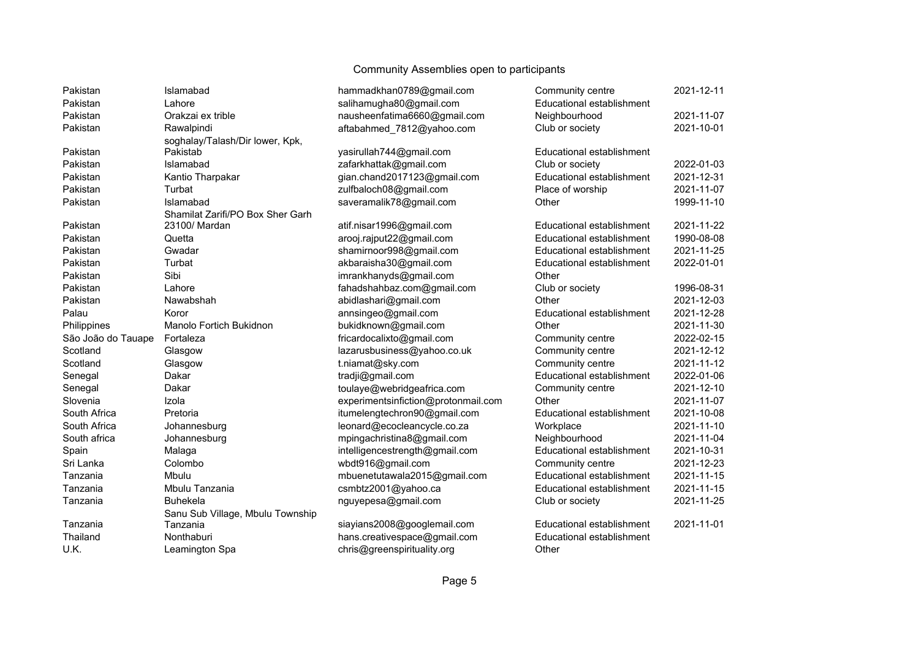| Pakistan           | Islamabad                        | hammadkhan0789@gmail.com            | Community centre          | 2021-12-11 |
|--------------------|----------------------------------|-------------------------------------|---------------------------|------------|
| Pakistan           | Lahore                           | salihamugha80@gmail.com             | Educational establishment |            |
| Pakistan           | Orakzai ex trible                | nausheenfatima6660@gmail.com        | Neighbourhood             | 2021-11-07 |
| Pakistan           | Rawalpindi                       | aftabahmed 7812@yahoo.com           | Club or society           | 2021-10-01 |
|                    | soghalay/Talash/Dir lower, Kpk,  |                                     |                           |            |
| Pakistan           | Pakistab                         | yasirullah744@gmail.com             | Educational establishment |            |
| Pakistan           | Islamabad                        | zafarkhattak@gmail.com              | Club or society           | 2022-01-03 |
| Pakistan           | Kantio Tharpakar                 | gian.chand2017123@gmail.com         | Educational establishment | 2021-12-31 |
| Pakistan           | Turbat                           | zulfbaloch08@gmail.com              | Place of worship          | 2021-11-07 |
| Pakistan           | Islamabad                        | saveramalik78@gmail.com             | Other                     | 1999-11-10 |
|                    | Shamilat Zarifi/PO Box Sher Garh |                                     |                           |            |
| Pakistan           | 23100/ Mardan                    | atif.nisar1996@gmail.com            | Educational establishment | 2021-11-22 |
| Pakistan           | Quetta                           | arooj.rajput22@gmail.com            | Educational establishment | 1990-08-08 |
| Pakistan           | Gwadar                           | shamirnoor998@gmail.com             | Educational establishment | 2021-11-25 |
| Pakistan           | Turbat                           | akbaraisha30@gmail.com              | Educational establishment | 2022-01-01 |
| Pakistan           | Sibi                             | imrankhanyds@gmail.com              | Other                     |            |
| Pakistan           | Lahore                           | fahadshahbaz.com@gmail.com          | Club or society           | 1996-08-31 |
| Pakistan           | Nawabshah                        | abidlashari@gmail.com               | Other                     | 2021-12-03 |
| Palau              | Koror                            | annsingeo@gmail.com                 | Educational establishment | 2021-12-28 |
| Philippines        | Manolo Fortich Bukidnon          | bukidknown@gmail.com                | Other                     | 2021-11-30 |
| São João do Tauape | Fortaleza                        | fricardocalixto@gmail.com           | Community centre          | 2022-02-15 |
| Scotland           | Glasgow                          | lazarusbusiness@yahoo.co.uk         | Community centre          | 2021-12-12 |
| Scotland           | Glasgow                          | t.niamat@sky.com                    | Community centre          | 2021-11-12 |
| Senegal            | Dakar                            | tradji@gmail.com                    | Educational establishment | 2022-01-06 |
| Senegal            | Dakar                            | toulaye@webridgeafrica.com          | Community centre          | 2021-12-10 |
| Slovenia           | Izola                            | experimentsinfiction@protonmail.com | Other                     | 2021-11-07 |
| South Africa       | Pretoria                         | itumelengtechron90@gmail.com        | Educational establishment | 2021-10-08 |
| South Africa       | Johannesburg                     | leonard@ecocleancycle.co.za         | Workplace                 | 2021-11-10 |
| South africa       | Johannesburg                     | mpingachristina8@gmail.com          | Neighbourhood             | 2021-11-04 |
| Spain              | Malaga                           | intelligencestrength@gmail.com      | Educational establishment | 2021-10-31 |
| Sri Lanka          | Colombo                          | wbdt916@gmail.com                   | Community centre          | 2021-12-23 |
| Tanzania           | Mbulu                            | mbuenetutawala2015@gmail.com        | Educational establishment | 2021-11-15 |
| Tanzania           | Mbulu Tanzania                   | csmbtz2001@yahoo.ca                 | Educational establishment | 2021-11-15 |
| Tanzania           | <b>Buhekela</b>                  | nguyepesa@gmail.com                 | Club or society           | 2021-11-25 |
|                    | Sanu Sub Village, Mbulu Township |                                     |                           |            |
| Tanzania           | Tanzania                         | siayians2008@googlemail.com         | Educational establishment | 2021-11-01 |
| Thailand           | Nonthaburi                       | hans.creativespace@gmail.com        | Educational establishment |            |
| U.K.               | Leamington Spa                   | chris@greenspirituality.org         | Other                     |            |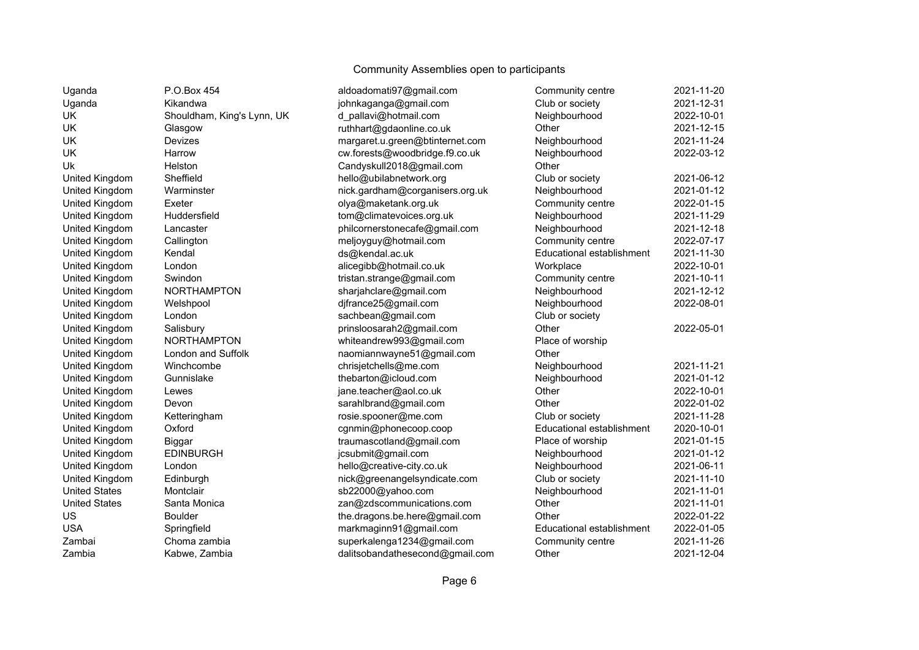| Uganda               | P.O.Box 454                | aldoadomati97@gmail.com         | Community centre          | 2021-11-20 |
|----------------------|----------------------------|---------------------------------|---------------------------|------------|
| Uganda               | Kikandwa                   | johnkaganga@gmail.com           | Club or society           | 2021-12-31 |
| <b>UK</b>            | Shouldham, King's Lynn, UK | d_pallavi@hotmail.com           | Neighbourhood             | 2022-10-01 |
| UK                   | Glasgow                    | ruthhart@gdaonline.co.uk        | Other                     | 2021-12-15 |
| UK                   | Devizes                    | margaret.u.green@btinternet.com | Neighbourhood             | 2021-11-24 |
| UK                   | Harrow                     | cw.forests@woodbridge.f9.co.uk  | Neighbourhood             | 2022-03-12 |
| Uk                   | Helston                    | Candyskull2018@gmail.com        | Other                     |            |
| United Kingdom       | Sheffield                  | hello@ubilabnetwork.org         | Club or society           | 2021-06-12 |
| United Kingdom       | Warminster                 | nick.gardham@corganisers.org.uk | Neighbourhood             | 2021-01-12 |
| United Kingdom       | Exeter                     | olya@maketank.org.uk            | Community centre          | 2022-01-15 |
| United Kingdom       | Huddersfield               | tom@climatevoices.org.uk        | Neighbourhood             | 2021-11-29 |
| United Kingdom       | Lancaster                  | philcornerstonecafe@gmail.com   | Neighbourhood             | 2021-12-18 |
| United Kingdom       | Callington                 | meljoyguy@hotmail.com           | Community centre          | 2022-07-17 |
| United Kingdom       | Kendal                     | ds@kendal.ac.uk                 | Educational establishment | 2021-11-30 |
| United Kingdom       | London                     | alicegibb@hotmail.co.uk         | Workplace                 | 2022-10-01 |
| United Kingdom       | Swindon                    | tristan.strange@gmail.com       | Community centre          | 2021-10-11 |
| United Kingdom       | <b>NORTHAMPTON</b>         | sharjahclare@gmail.com          | Neighbourhood             | 2021-12-12 |
| United Kingdom       | Welshpool                  | djfrance25@gmail.com            | Neighbourhood             | 2022-08-01 |
| United Kingdom       | London                     | sachbean@gmail.com              | Club or society           |            |
| United Kingdom       | Salisbury                  | prinsloosarah2@gmail.com        | Other                     | 2022-05-01 |
| United Kingdom       | <b>NORTHAMPTON</b>         | whiteandrew993@gmail.com        | Place of worship          |            |
| United Kingdom       | London and Suffolk         | naomiannwayne51@gmail.com       | Other                     |            |
| United Kingdom       | Winchcombe                 | chrisjetchells@me.com           | Neighbourhood             | 2021-11-21 |
| United Kingdom       | Gunnislake                 | thebarton@icloud.com            | Neighbourhood             | 2021-01-12 |
| United Kingdom       | Lewes                      | jane.teacher@aol.co.uk          | Other                     | 2022-10-01 |
| United Kingdom       | Devon                      | sarahlbrand@gmail.com           | Other                     | 2022-01-02 |
| United Kingdom       | Ketteringham               | rosie.spooner@me.com            | Club or society           | 2021-11-28 |
| United Kingdom       | Oxford                     | cgnmin@phonecoop.coop           | Educational establishment | 2020-10-01 |
| United Kingdom       | Biggar                     | traumascotland@gmail.com        | Place of worship          | 2021-01-15 |
| United Kingdom       | <b>EDINBURGH</b>           | jcsubmit@gmail.com              | Neighbourhood             | 2021-01-12 |
| United Kingdom       | London                     | hello@creative-city.co.uk       | Neighbourhood             | 2021-06-11 |
| United Kingdom       | Edinburgh                  | nick@greenangelsyndicate.com    | Club or society           | 2021-11-10 |
| <b>United States</b> | Montclair                  | sb22000@yahoo.com               | Neighbourhood             | 2021-11-01 |
| <b>United States</b> | Santa Monica               | zan@zdscommunications.com       | Other                     | 2021-11-01 |
| US                   | <b>Boulder</b>             | the.dragons.be.here@gmail.com   | Other                     | 2022-01-22 |
| <b>USA</b>           | Springfield                | markmaginn91@gmail.com          | Educational establishment | 2022-01-05 |
| Zambai               | Choma zambia               | superkalenga1234@gmail.com      | Community centre          | 2021-11-26 |
| Zambia               | Kabwe, Zambia              | dalitsobandathesecond@gmail.com | Other                     | 2021-12-04 |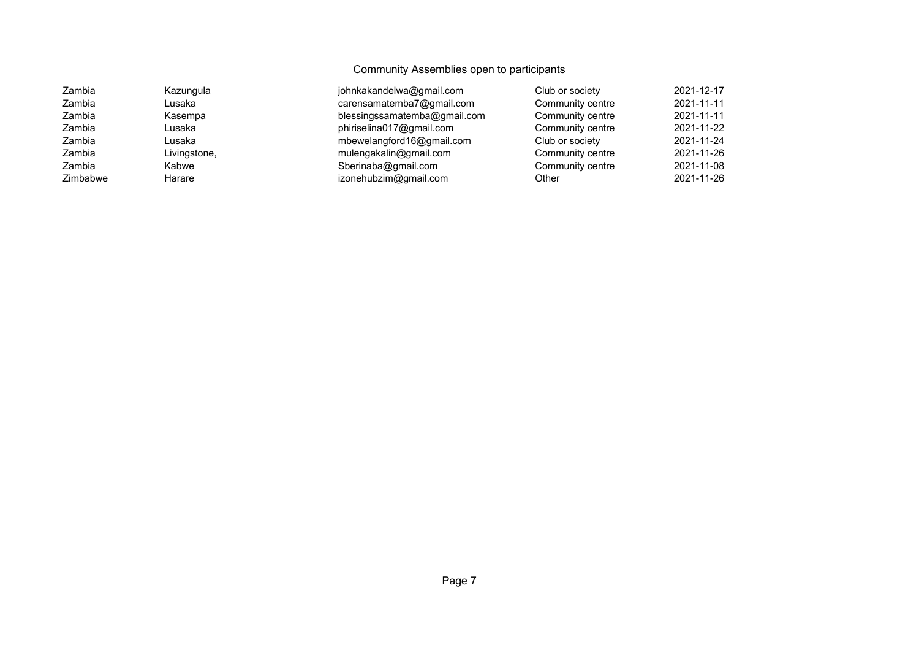| Zambia   | Kazungula    | johnkakandelwa@gmail.com     | Club or society  | 2021-12-17 |
|----------|--------------|------------------------------|------------------|------------|
| Zambia   | Lusaka       | carensamatemba7@gmail.com    | Community centre | 2021-11-11 |
| Zambia   | Kasempa      | blessingssamatemba@gmail.com | Community centre | 2021-11-11 |
| Zambia   | Lusaka       | phiriselina017@gmail.com     | Community centre | 2021-11-22 |
| Zambia   | Lusaka       | mbewelangford16@gmail.com    | Club or society  | 2021-11-24 |
| Zambia   | Livingstone, | mulengakalin@gmail.com       | Community centre | 2021-11-26 |
| Zambia   | Kabwe        | Sberinaba@gmail.com          | Community centre | 2021-11-08 |
| Zimbabwe | Harare       | izonehubzim@gmail.com        | Other            | 2021-11-26 |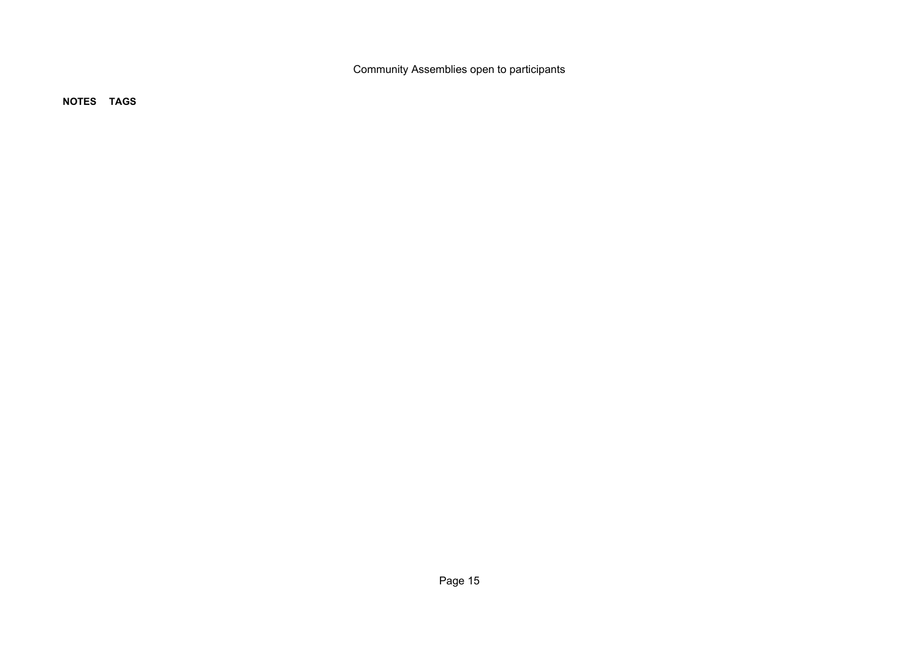**NOTES TAGS**